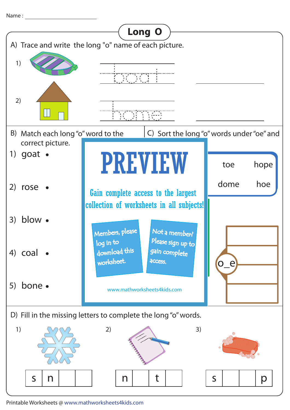Name :



Printable Worksheets @ www.mathworksheets4kids.com